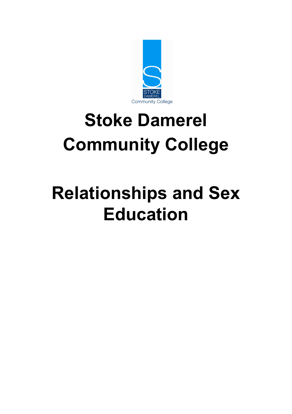

# **Stoke Damerel Community College**

# **Relationships and Sex Education**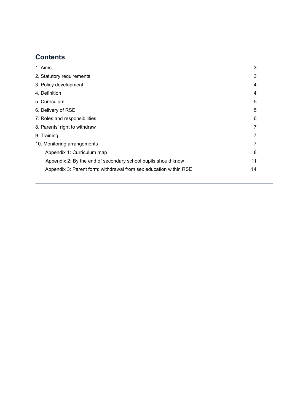# **Contents**

<span id="page-1-0"></span>

| 1. Aims                                                           | 3  |
|-------------------------------------------------------------------|----|
| 2. Statutory requirements                                         | 3  |
| 3. Policy development                                             | 4  |
| 4. Definition                                                     | 4  |
| 5. Curriculum                                                     | 5  |
| 6. Delivery of RSE                                                | 5  |
| 7. Roles and responsibilities                                     |    |
| 8. Parents' right to withdraw                                     |    |
| 9. Training                                                       |    |
| 10. Monitoring arrangements                                       |    |
| Appendix 1: Curriculum map                                        | 8  |
| Appendix 2: By the end of secondary school pupils should know     | 11 |
| Appendix 3: Parent form: withdrawal from sex education within RSE | 14 |
|                                                                   |    |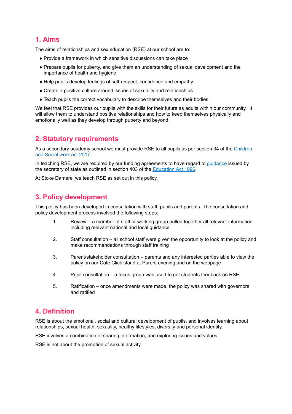## **1. Aims**

The aims of relationships and sex education (RSE) at our school are to:

- Provide a framework in which sensitive discussions can take place
- Prepare pupils for puberty, and give them an understanding of sexual development and the importance of health and hygiene
- Help pupils develop feelings of self-respect, confidence and empathy
- Create a positive culture around issues of sexuality and relationships
- Teach pupils the correct vocabulary to describe themselves and their bodies

We feel that RSE provides our pupils with the skills for their future as adults within our community. It will allow them to understand positive relationships and how to keep themselves physically and emotionally well as they develop through puberty and beyond.

## <span id="page-2-0"></span>**2. Statutory requirements**

As a secondary academy school we must provide RSE to all pupils as per section 34 of the [Children](http://www.legislation.gov.uk/ukpga/2017/16/section/34/enacted) and [Social](http://www.legislation.gov.uk/ukpga/2017/16/section/34/enacted) work act 2017.

In teaching RSE, we are required by our funding agreements to have regard to [guidance](https://www.gov.uk/government/consultations/relationships-and-sex-education-and-health-education) issued by the secretary of state as outlined in section 403 of the [Education](http://www.legislation.gov.uk/ukpga/1996/56/contents) Act 1996.

<span id="page-2-1"></span>At Stoke Damerel we teach RSE as set out in this policy.

## **3. Policy development**

This policy has been developed in consultation with staff, pupils and parents. The consultation and policy development process involved the following steps:

- 1. Review a member of staff or working group pulled together all relevant information including relevant national and local guidance
- 2. Staff consultation all school staff were given the opportunity to look at the policy and make recommendations through staff training
- 3. Parent/stakeholder consultation parents and any interested parties able to view the policy on our Cafe Click stand at Parent evening and on the webpage
- 4. Pupil consultation a focus group was used to get students feedback on RSE
- 5. Ratification once amendments were made, the policy was shared with governors and ratified

# **4. Definition**

RSE is about the emotional, social and cultural development of pupils, and involves learning about relationships, sexual health, sexuality, healthy lifestyles, diversity and personal identity.

RSE involves a combination of sharing information, and exploring issues and values.

<span id="page-2-2"></span>RSE is not about the promotion of sexual activity.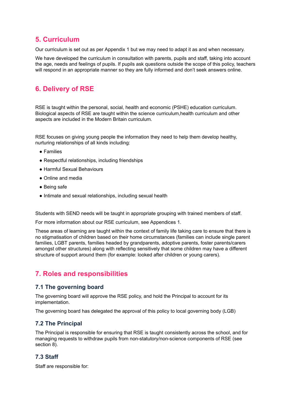## **5. Curriculum**

Our curriculum is set out as per Appendix 1 but we may need to adapt it as and when necessary.

We have developed the curriculum in consultation with parents, pupils and staff, taking into account the age, needs and feelings of pupils. If pupils ask questions outside the scope of this policy, teachers will respond in an appropriate manner so they are fully informed and don't seek answers online.

## <span id="page-3-0"></span>**6. Delivery of RSE**

RSE is taught within the personal, social, health and economic (PSHE) education curriculum. Biological aspects of RSE are taught within the science curriculum,health curriculum and other aspects are included in the Modern Britain curriculum.

RSE focuses on giving young people the information they need to help them develop healthy, nurturing relationships of all kinds including:

- Families
- Respectful relationships, including friendships
- Harmful Sexual Behaviours
- Online and media
- Being safe
- Intimate and sexual relationships, including sexual health

Students with SEND needs will be taught in appropriate grouping with trained members of staff.

For more information about our RSE curriculum, see Appendices 1.

These areas of learning are taught within the context of family life taking care to ensure that there is no stigmatisation of children based on their home circumstances (families can include single parent families, LGBT parents, families headed by grandparents, adoptive parents, foster parents/carers amongst other structures) along with reflecting sensitively that some children may have a different structure of support around them (for example: looked after children or young carers).

## <span id="page-3-1"></span>**7. Roles and responsibilities**

#### **7.1 The governing board**

The governing board will approve the RSE policy, and hold the Principal to account for its implementation.

The governing board has delegated the approval of this policy to local governing body (LGB)

#### **7.2 The Principal**

The Principal is responsible for ensuring that RSE is taught consistently across the school, and for managing requests to withdraw pupils from non-statutory/non-science components of RSE (see section 8).

#### **7.3 Staff**

Staff are responsible for: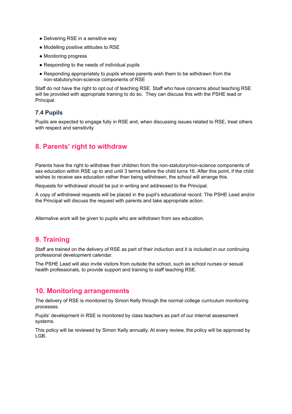- Delivering RSE in a sensitive way
- Modelling positive attitudes to RSE
- Monitoring progress
- Responding to the needs of individual pupils
- Responding appropriately to pupils whose parents wish them to be withdrawn from the non-statutory/non-science components of RSE

Staff do not have the right to opt out of teaching RSE. Staff who have concerns about teaching RSE will be provided with appropriate training to do so. They can discuss this with the PSHE lead or Principal.

### **7.4 Pupils**

Pupils are expected to engage fully in RSE and, when discussing issues related to RSE, treat others with respect and sensitivity.

## <span id="page-4-0"></span>**8. Parents' right to withdraw**

Parents have the right to withdraw their children from the non-statutory/non-science components of sex education within RSE up to and until 3 terms before the child turns 16. After this point, if the child wishes to receive sex education rather than being withdrawn, the school will arrange this.

Requests for withdrawal should be put in writing and addressed to the Principal.

A copy of withdrawal requests will be placed in the pupil's educational record. The PSHE Lead and/or the Principal will discuss the request with parents and take appropriate action.

<span id="page-4-1"></span>Alternative work will be given to pupils who are withdrawn from sex education.

## **9. Training**

Staff are trained on the delivery of RSE as part of their induction and it is included in our continuing professional development calendar.

The PSHE Lead will also invite visitors from outside the school, such as school nurses or sexual health professionals, to provide support and training to staff teaching RSE.

### <span id="page-4-2"></span>**10. Monitoring arrangements**

The delivery of RSE is monitored by Simon Kelly through the normal college curriculum monitoring processes.

Pupils' development in RSE is monitored by class teachers as part of our internal assessment systems.

This policy will be reviewed by Simon Kelly annually. At every review, the policy will be approved by LGB.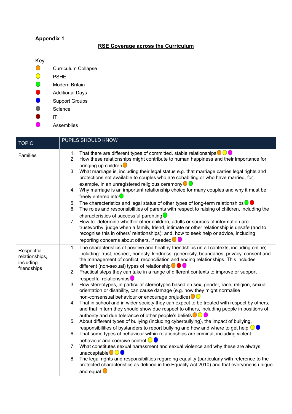## **Appendix 1**

#### **RSE Coverage across the Curriculum**

Key

- $\bigcirc$ Curriculum Collapse
- $\bullet$ PSHE
- $\bullet$ Modern Britain
- $\bullet$ Additional Days
- $\bullet$ Support Groups
- $\bullet$ Science
- $\bullet$ IT
- $\bullet$ Assemblies

| <b>TOPIC</b>                                             | PUPILS SHOULD KNOW                                                                                                                                                                                                                                                                                                                                                                                                                                                                                                                                                                                                                                                                                                                                                                                                                                                                                                                                                                                                                                                                                                                                                                                                                                                                                                                                                                                                                                                                                                                                                                                                                                                                        |
|----------------------------------------------------------|-------------------------------------------------------------------------------------------------------------------------------------------------------------------------------------------------------------------------------------------------------------------------------------------------------------------------------------------------------------------------------------------------------------------------------------------------------------------------------------------------------------------------------------------------------------------------------------------------------------------------------------------------------------------------------------------------------------------------------------------------------------------------------------------------------------------------------------------------------------------------------------------------------------------------------------------------------------------------------------------------------------------------------------------------------------------------------------------------------------------------------------------------------------------------------------------------------------------------------------------------------------------------------------------------------------------------------------------------------------------------------------------------------------------------------------------------------------------------------------------------------------------------------------------------------------------------------------------------------------------------------------------------------------------------------------------|
| Families                                                 | That there are different types of committed, stable relationships $\bigcirc \bigcirc \bigcirc$<br>1.<br>How these relationships might contribute to human happiness and their importance for<br>2.<br>bringing up children<br>3.<br>What marriage is, including their legal status e.g. that marriage carries legal rights and<br>protections not available to couples who are cohabiting or who have married, for<br>example, in an unregistered religious ceremony $\bigcirc$<br>4. Why marriage is an important relationship choice for many couples and why it must be<br>freely entered into <sup>O</sup><br>The characteristics and legal status of other types of long-term relationships $\bigcirc$<br>5.<br>The roles and responsibilities of parents with respect to raising of children, including the<br>6.<br>characteristics of successful parenting O<br>How to: determine whether other children, adults or sources of information are<br>7.<br>trustworthy: judge when a family, friend, intimate or other relationship is unsafe (and to<br>recognise this in others' relationships); and, how to seek help or advice, including<br>reporting concerns about others, if needed $\bullet$                                                                                                                                                                                                                                                                                                                                                                                                                                                                                |
| Respectful<br>relationships,<br>including<br>friendships | The characteristics of positive and healthy friendships (in all contexts, including online)<br>1.<br>including: trust, respect, honesty, kindness, generosity, boundaries, privacy, consent and<br>the management of conflict, reconciliation and ending relationships. This includes<br>different (non-sexual) types of relationship $\bullet$ $\bullet$<br>2. Practical steps they can take in a range of different contexts to improve or support<br>respectful relationships <sup>0</sup><br>How stereotypes, in particular stereotypes based on sex, gender, race, religion, sexual<br>3.<br>orientation or disability, can cause damage (e.g. how they might normalise<br>non-consensual behaviour or encourage prejudice) ● ●<br>4. That in school and in wider society they can expect to be treated with respect by others,<br>and that in turn they should show due respect to others, including people in positions of<br>authority and due tolerance of other people's beliefs <b>OO</b><br>5. About different types of bullying (including cyberbullying), the impact of bullying,<br>responsibilities of bystanders to report bullying and how and where to get help $\bigcirc$<br>6. That some types of behaviour within relationships are criminal, including violent<br>behaviour and coercive control $\bigcirc$<br>7. What constitutes sexual harassment and sexual violence and why these are always<br>unacceptable $\bigcirc$ $\bigcirc$<br>The legal rights and responsibilities regarding equality (particularly with reference to the<br>8.<br>protected characteristics as defined in the Equality Act 2010) and that everyone is unique<br>and equal $\bullet$ |